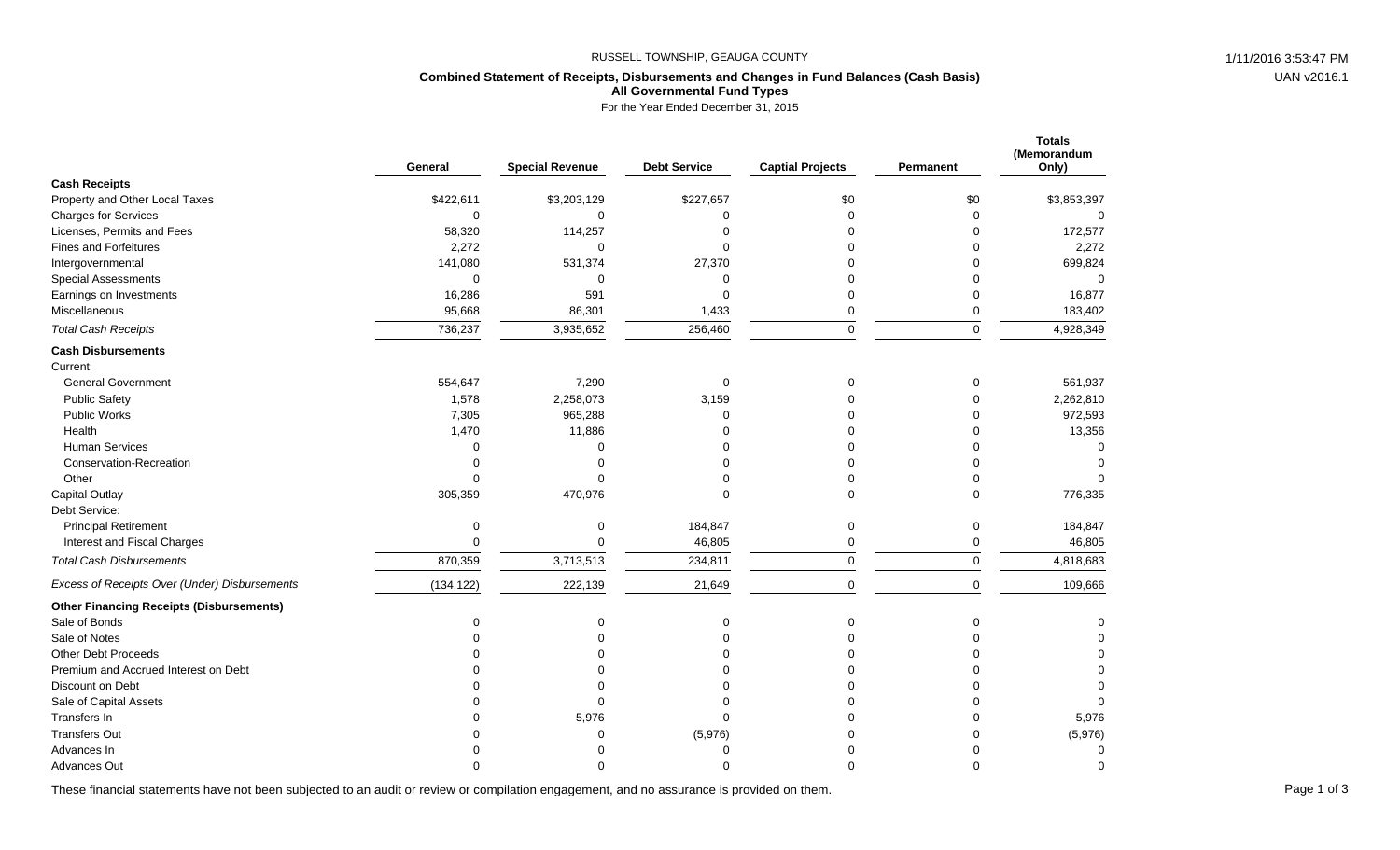## RUSSELL TOWNSHIP, GEAUGA COUNTY **1/11/2016 3:53:47 PM** 1/11/2016 3:53:47 PM

UAN v2016.1

# **Combined Statement of Receipts, Disbursements and Changes in Fund Balances (Cash Basis) All Governmental Fund Types**

For the Year Ended December 31, 2015

|                                                 | General     | <b>Special Revenue</b> | <b>Debt Service</b> | <b>Captial Projects</b> | Permanent   | <b>Totals</b><br>(Memorandum<br>Only) |
|-------------------------------------------------|-------------|------------------------|---------------------|-------------------------|-------------|---------------------------------------|
| <b>Cash Receipts</b>                            |             |                        |                     |                         |             |                                       |
| Property and Other Local Taxes                  | \$422,611   | \$3,203,129            | \$227,657           | \$0                     | \$0         | \$3,853,397                           |
| <b>Charges for Services</b>                     | $\mathbf 0$ | $\Omega$               | $\Omega$            | $\Omega$                | $\Omega$    | $\Omega$                              |
| Licenses, Permits and Fees                      | 58,320      | 114,257                |                     | ∩                       | $\Omega$    | 172,577                               |
| <b>Fines and Forfeitures</b>                    | 2,272       | $\Omega$               | $\Omega$            |                         | $\Omega$    | 2,272                                 |
| Intergovernmental                               | 141,080     | 531,374                | 27,370              |                         | $\Omega$    | 699,824                               |
| <b>Special Assessments</b>                      | 0           | $\Omega$               | $\Omega$            |                         | $\Omega$    | $\Omega$                              |
| Earnings on Investments                         | 16,286      | 591                    | $\Omega$            | $\Omega$                | $\Omega$    | 16,877                                |
| Miscellaneous                                   | 95,668      | 86,301                 | 1,433               | $\pmb{0}$               | $\mathbf 0$ | 183,402                               |
| <b>Total Cash Receipts</b>                      | 736,237     | 3,935,652              | 256,460             | $\mathsf{O}\xspace$     | $\pmb{0}$   | 4,928,349                             |
| <b>Cash Disbursements</b>                       |             |                        |                     |                         |             |                                       |
| Current:                                        |             |                        |                     |                         |             |                                       |
| <b>General Government</b>                       | 554,647     | 7,290                  | $\mathbf 0$         | $\Omega$                | 0           | 561,937                               |
| <b>Public Safety</b>                            | 1,578       | 2,258,073              | 3,159               |                         | $\mathbf 0$ | 2,262,810                             |
| Public Works                                    | 7,305       | 965,288                | $\Omega$            |                         | 0           | 972,593                               |
| Health                                          | 1,470       | 11,886                 |                     |                         | $\Omega$    | 13,356                                |
| <b>Human Services</b>                           | $\mathbf 0$ | ∩                      |                     |                         | $\Omega$    | $\Omega$                              |
| Conservation-Recreation                         | $\Omega$    | $\Omega$               |                     | O                       | $\Omega$    | $\Omega$                              |
| Other                                           | $\Omega$    |                        |                     | $\Omega$                | $\Omega$    |                                       |
| <b>Capital Outlay</b>                           | 305,359     | 470,976                | $\Omega$            | $\Omega$                | $\Omega$    | 776,335                               |
| Debt Service:                                   |             |                        |                     |                         |             |                                       |
| <b>Principal Retirement</b>                     | 0           | 0                      | 184,847             | $\mathbf 0$             | $\mathbf 0$ | 184,847                               |
| Interest and Fiscal Charges                     | $\Omega$    | $\Omega$               | 46,805              | 0                       | $\mathbf 0$ | 46,805                                |
| <b>Total Cash Disbursements</b>                 | 870,359     | 3,713,513              | 234,811             | $\mathsf{O}\xspace$     | $\mathsf 0$ | 4,818,683                             |
| Excess of Receipts Over (Under) Disbursements   | (134, 122)  | 222,139                | 21,649              | $\mathbf 0$             | $\mathbf 0$ | 109,666                               |
| <b>Other Financing Receipts (Disbursements)</b> |             |                        |                     |                         |             |                                       |
| Sale of Bonds                                   | $\Omega$    | $\Omega$               | $\Omega$            | ∩                       | $\Omega$    | 0                                     |
| Sale of Notes                                   | $\Omega$    | $\Omega$               |                     |                         | $\Omega$    |                                       |
| <b>Other Debt Proceeds</b>                      |             |                        |                     |                         | $\Omega$    | O                                     |
| Premium and Accrued Interest on Debt            |             |                        |                     |                         | $\Omega$    | O                                     |
| Discount on Debt                                | $\Omega$    |                        |                     |                         | $\Omega$    | 0                                     |
| Sale of Capital Assets                          | $\Omega$    | ∩                      |                     |                         | $\Omega$    | $\mathbf 0$                           |
| Transfers In                                    | $\Omega$    | 5,976                  | $\Omega$            |                         | $\Omega$    | 5,976                                 |
| <b>Transfers Out</b>                            | $\Omega$    | $\Omega$               | (5,976)             |                         | $\Omega$    | (5,976)                               |
| Advances In                                     |             |                        | $\Omega$            |                         | ∩           | 0                                     |
| <b>Advances Out</b>                             |             |                        |                     |                         | $\Omega$    | $\Omega$                              |

These financial statements have not been subjected to an audit or review or compilation engagement, and no assurance is provided on them.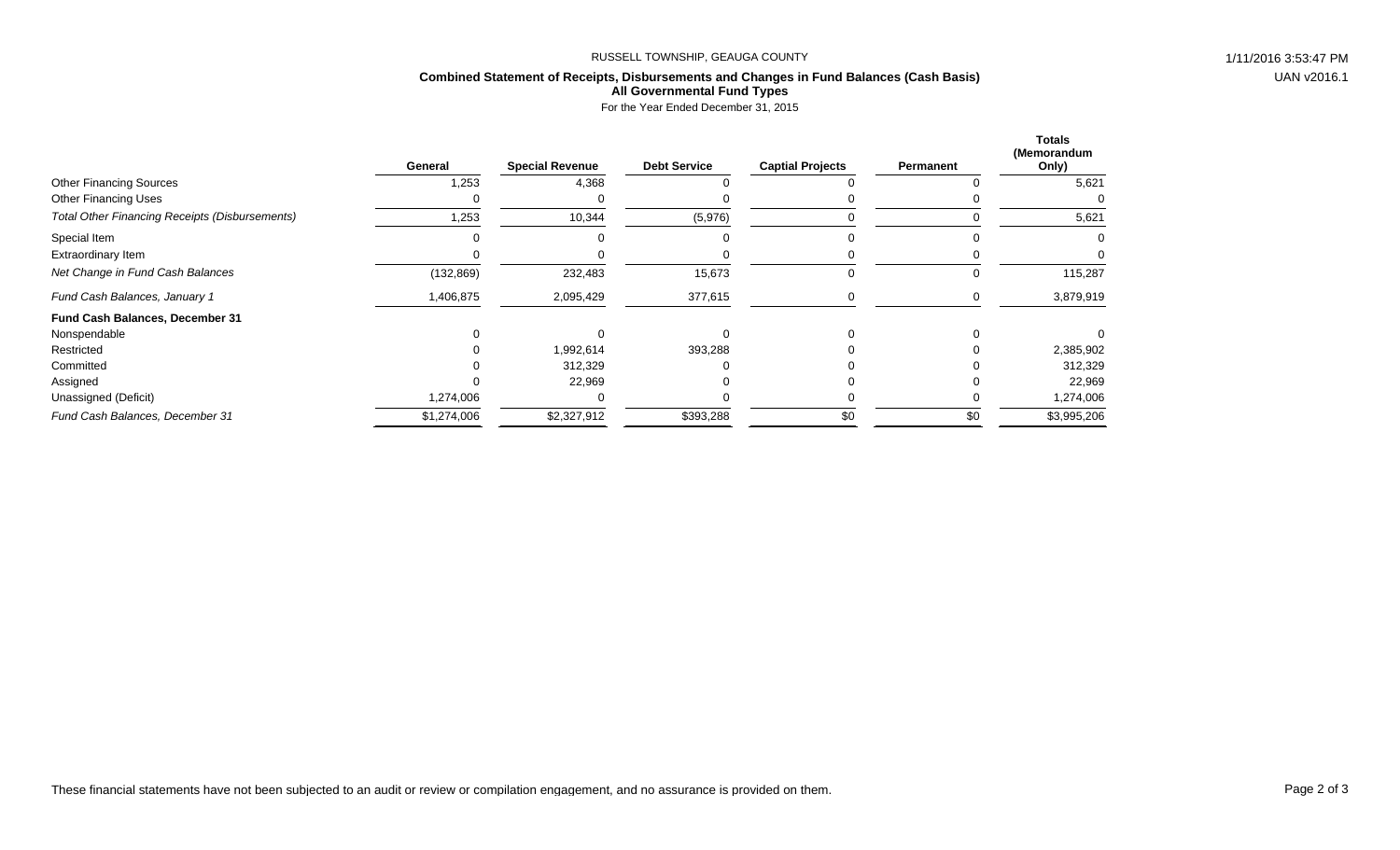## RUSSELL TOWNSHIP, GEAUGA COUNTY 1/11/2016 3:53:47 PM

## **Combined Statement of Receipts, Disbursements and Changes in Fund Balances (Cash Basis) All Governmental Fund Types**

For the Year Ended December 31, 2015

|                                                       | General     | <b>Special Revenue</b> | <b>Debt Service</b> | <b>Captial Projects</b> | Permanent | <b>Totals</b><br>(Memorandum<br>Only) |
|-------------------------------------------------------|-------------|------------------------|---------------------|-------------------------|-----------|---------------------------------------|
| <b>Other Financing Sources</b>                        | 1,253       | 4,368                  |                     |                         |           | 5,621                                 |
| <b>Other Financing Uses</b>                           |             |                        |                     |                         |           |                                       |
| <b>Total Other Financing Receipts (Disbursements)</b> | 1,253       | 10,344                 | (5,976)             |                         |           | 5,621                                 |
| Special Item                                          |             |                        |                     |                         |           |                                       |
| Extraordinary Item                                    |             |                        |                     |                         |           |                                       |
| Net Change in Fund Cash Balances                      | (132, 869)  | 232,483                | 15,673              | <b>U</b>                | O         | 115,287                               |
| Fund Cash Balances, January 1                         | 1,406,875   | 2,095,429              | 377,615             |                         | 0         | 3,879,919                             |
| Fund Cash Balances, December 31                       |             |                        |                     |                         |           |                                       |
| Nonspendable                                          |             |                        |                     |                         |           |                                       |
| Restricted                                            |             | 1,992,614              | 393,288             |                         |           | 2,385,902                             |
| Committed                                             |             | 312,329                |                     |                         |           | 312,329                               |
| Assigned                                              |             | 22,969                 |                     |                         |           | 22,969                                |
| Unassigned (Deficit)                                  | 1,274,006   |                        |                     |                         |           | 1,274,006                             |
| Fund Cash Balances, December 31                       | \$1,274,006 | \$2,327,912            | \$393,288           | \$0                     | \$0       | \$3,995,206                           |